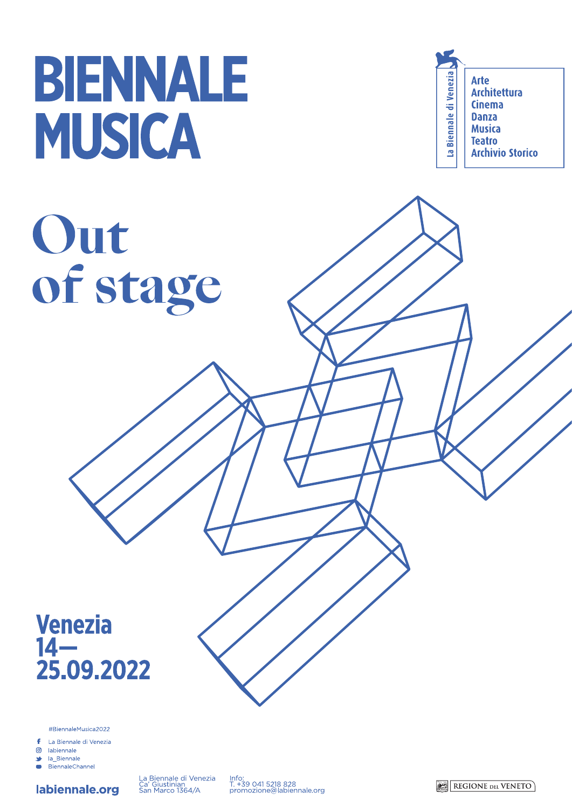# BIENNALE MUSICA

# Out of stage

La Biennale di Venezia **Arte Architettura Cinema Danza Musica Teatro Archivio Storico** 

# Venezia<br>14-25.09.2022

#BiennaleMusica2022

£ La Biennale di Venezia

labiennale.org

൫ labiennale la Biennale

30 BiennaleChannel  $\overline{\phantom{a}}$ 



La Biennale di Venezia<br>Ca' Giustinian<br>San Marco 1364/A

Info:<br>T. +39 041 5218 828<br>promozione@labiennale.org

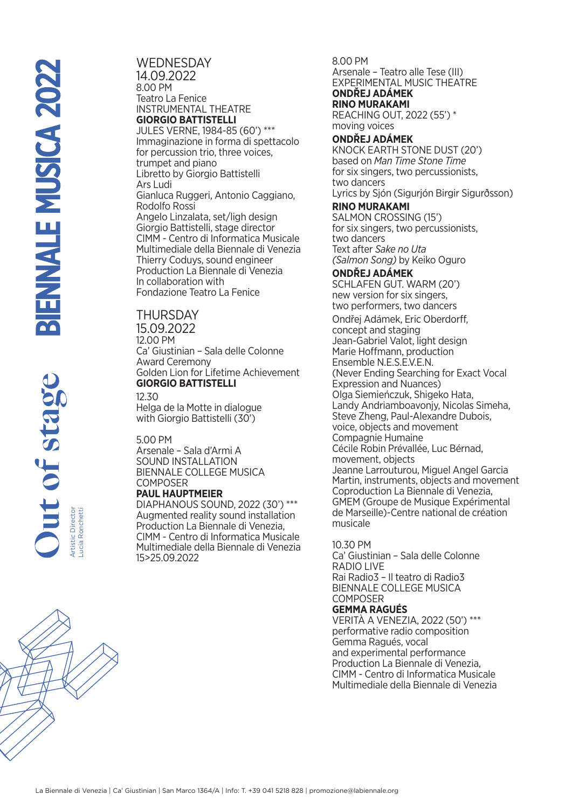Lucia Ronchetti

**WEDNESDAY** 14.09.2022 8.00 PM Teatro La Fenice INSTRUMENTAL THEATRE **GIORGIO BATTISTELLI** JULES VERNE, 1984-85 (60') \*\*\* Immaginazione in forma di spettacolo for percussion trio, three voices, trumpet and piano Libretto by Giorgio Battistelli Ars Ludi Gianluca Ruggeri, Antonio Caggiano, Rodolfo Rossi Angelo Linzalata, set/ligh design Giorgio Battistelli, stage director CIMM - Centro di Informatica Musicale Multimediale della Biennale di Venezia Thierry Coduys, sound engineer Production La Biennale di Venezia In collaboration with Fondazione Teatro La Fenice

## **THURSDAY**

15.09.2022 12.00 PM Ca' Giustinian – Sala delle Colonne Award Ceremony Golden Lion for Lifetime Achievement **GIORGIO BATTISTELLI**

12.30 Helga de la Motte in dialogue with Giorgio Battistelli (30')

#### 5.00 PM

Arsenale – Sala d'Armi A SOUND INSTALLATION BIENNALE COLLEGE MUSICA **COMPOSER PAUL HAUPTMEIER**

DIAPHANOUS SOUND, 2022 (30') \*\*\* Augmented reality sound installation Production La Biennale di Venezia, CIMM - Centro di Informatica Musicale Multimediale della Biennale di Venezia 15>25.09.2022

8.00 PM Arsenale – Teatro alle Tese (III) EXPERIMENTAL MUSIC THEATRE **ONDŘEJ ADÁMEK RINO MURAKAMI** REACHING OUT, 2022 (55') \*

moving voices

#### **ONDŘEJ ADÁMEK**

KNOCK EARTH STONE DUST (20') based on *Man Time Stone Time*  for six singers, two percussionists, two dancers Lyrics by Sjón (Sigurjón Birgir Sigurðsson) **RINO MURAKAMI** SALMON CROSSING (15') for six singers, two percussionists, two dancers Text after *Sake no Uta (Salmon Song)* by Keiko Oguro **ONDŘEJ ADÁMEK** SCHLAFEN GUT. WARM (20') new version for six singers, two performers, two dancers Ondřej Adámek, Eric Oberdorff, concept and staging Jean-Gabriel Valot, light design Marie Hoffmann, production Ensemble N.E.S.E.V.E.N. (Never Ending Searching for Exact Vocal Expression and Nuances) Olga Siemieńczuk, Shigeko Hata, Landy Andriamboavonjy, Nicolas Simeha, Steve Zheng, Paul-Alexandre Dubois, voice, objects and movement Compagnie Humaine Cécile Robin Prévallée, Luc Bérnad, movement, objects Jeanne Larrouturou, Miguel Angel Garcia Martin, instruments, objects and movement Coproduction La Biennale di Venezia, GMEM (Groupe de Musique Expérimental de Marseille)-Centre national de création musicale

#### 10.30 PM

Ca' Giustinian – Sala delle Colonne RADIO LIVE Rai Radio3 – Il teatro di Radio3 BIENNALE COLLEGE MUSICA **COMPOSER** 

#### **GEMMA RAGUÉS**

VERITÀ A VENEZIA, 2022 (50') \*\*\* performative radio composition Gemma Ragués, vocal and experimental performance Production La Biennale di Venezia, CIMM - Centro di Informatica Musicale Multimediale della Biennale di Venezia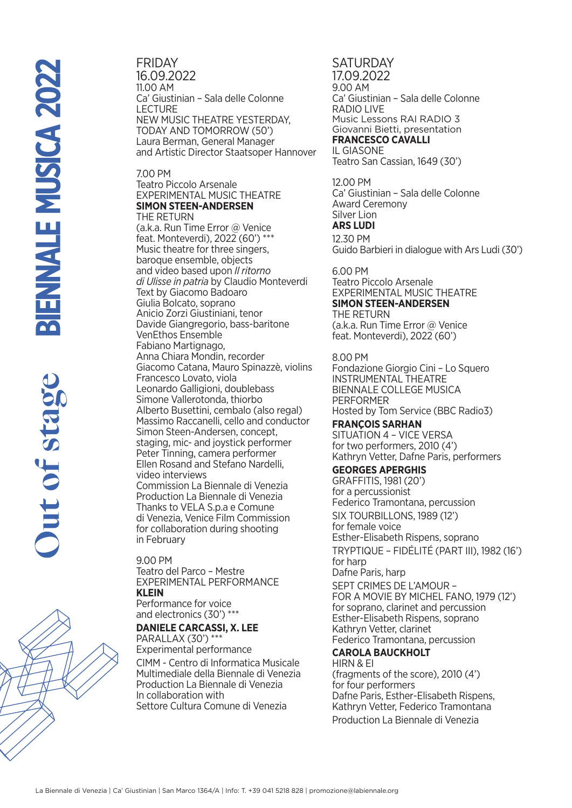FRIDAY 16.09.2022 11.00 AM Ca' Giustinian – Sala delle Colonne LECTURE NEW MUSIC THEATRE YESTERDAY, TODAY AND TOMORROW (50') Laura Berman, General Manager and Artistic Director Staatsoper Hannover

#### 7.00 PM Teatro Piccolo Arsenale EXPERIMENTAL MUSIC THEATRE **SIMON STEEN-ANDERSEN** THE RETURN

(a.k.a. Run Time Error @ Venice feat. Monteverdi), 2022 (60') \*\*\* Music theatre for three singers, baroque ensemble, objects and video based upon *Il ritorno di Ulisse in patria* by Claudio Monteverdi Text by Giacomo Badoaro Giulia Bolcato, soprano Anicio Zorzi Giustiniani, tenor Davide Giangregorio, bass-baritone VenEthos Ensemble Fabiano Martignago, Anna Chiara Mondin, recorder Giacomo Catana, Mauro Spinazzè, violins Francesco Lovato, viola Leonardo Galligioni, doublebass Simone Vallerotonda, thiorbo Alberto Busettini, cembalo (also regal) Massimo Raccanelli, cello and conductor Simon Steen-Andersen, concept, staging, mic- and joystick performer Peter Tinning, camera performer Ellen Rosand and Stefano Nardelli, video interviews Commission La Biennale di Venezia Production La Biennale di Venezia Thanks to VELA S.p.a e Comune di Venezia, Venice Film Commission for collaboration during shooting in February

9.00 PM Teatro del Parco – Mestre EXPERIMENTAL PERFORMANCE **KLEIN**  Performance for voice

and electronics (30') \*\*\*

# **DANIELE CARCASSI, X. LEE**

PARALLAX (30') \*\*\* Experimental performance CIMM - Centro di Informatica Musicale Multimediale della Biennale di Venezia Production La Biennale di Venezia In collaboration with Settore Cultura Comune di Venezia

**SATURDAY** 17.09.2022 9.00 AM Ca' Giustinian – Sala delle Colonne RADIO LIVE Music Lessons RAI RADIO 3 Giovanni Bietti, presentation **FRANCESCO CAVALLI**  IL GIASONE

Teatro San Cassian, 1649 (30')

#### 12.00 PM

Ca' Giustinian – Sala delle Colonne Award Ceremony Silver Lion

#### **ARS LUDI**

12.30 PM

Guido Barbieri in dialogue with Ars Ludi (30')

### 6.00 PM

Teatro Piccolo Arsenale EXPERIMENTAL MUSIC THEATRE **SIMON STEEN-ANDERSEN** THE RETURN (a.k.a. Run Time Error @ Venice

feat. Monteverdi), 2022 (60')

8.00 PM Fondazione Giorgio Cini – Lo Squero INSTRUMENTAL THEATRE BIENNALE COLLEGE MUSICA PERFORMER Hosted by Tom Service (BBC Radio3)

**FRANÇOIS SARHAN** SITUATION 4 – VICE VERSA for two performers, 2010 (4') Kathryn Vetter, Dafne Paris, performers

# **GEORGES APERGHIS**

GRAFFITIS, 1981 (20') for a percussionist Federico Tramontana, percussion SIX TOURBILLONS, 1989 (12') for female voice Esther-Elisabeth Rispens, soprano TRYPTIQUE – FIDÉLITÉ (PART III), 1982 (16') for harp Dafne Paris, harp SEPT CRIMES DE L'AMOUR – FOR A MOVIE BY MICHEL FANO, 1979 (12') for soprano, clarinet and percussion Esther-Elisabeth Rispens, soprano Kathryn Vetter, clarinet Federico Tramontana, percussion

# **CAROLA BAUCKHOLT**

HIRN & EI (fragments of the score), 2010 (4') for four performers Dafne Paris, Esther-Elisabeth Rispens, Kathryn Vetter, Federico Tramontana Production La Biennale di Venezia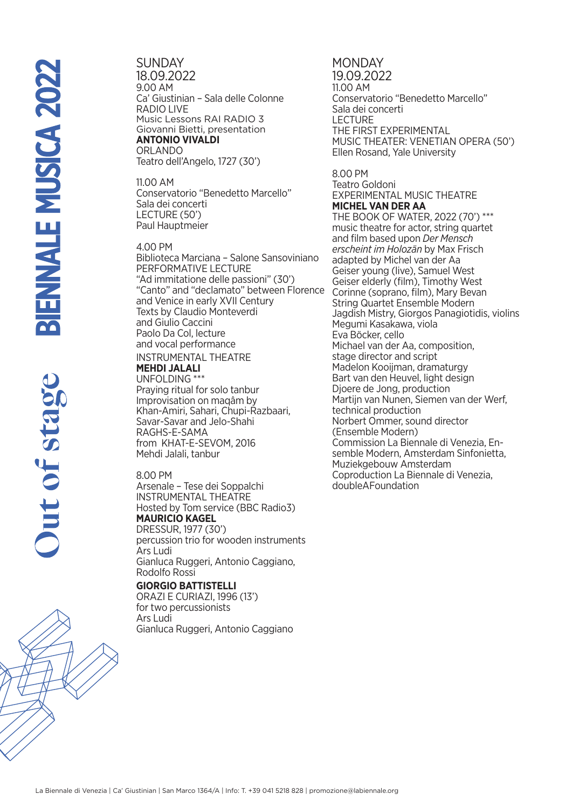**SUNDAY** 18.09.2022 9.00 AM Ca' Giustinian – Sala delle Colonne RADIO LIVE Music Lessons RAI RADIO 3 Giovanni Bietti, presentation **ANTONIO VIVALDI** ORLANDO Teatro dell'Angelo, 1727 (30')

11.00 AM Conservatorio "Benedetto Marcello" Sala dei concerti LECTURE (50') Paul Hauptmeier

4.00 PM Biblioteca Marciana – Salone Sansoviniano PERFORMATIVE LECTURE "Ad immitatione delle passioni" (30') "Canto" and "declamato" between Florence and Venice in early XVII Century Texts by Claudio Monteverdi and Giulio Caccini Paolo Da Col, lecture and vocal performance

#### INSTRUMENTAL THEATRE **MEHDI JALALI**

UNFOLDING \*\*\*

Praying ritual for solo tanbur Improvisation on maqâm by Khan-Amiri, Sahari, Chupi-Razbaari, Savar-Savar and Jelo-Shahi RAGHS-E-SAMA from KHAT-E-SEVOM, 2016 Mehdi Jalali, tanbur

#### 8.00 PM

Arsenale – Tese dei Soppalchi INSTRUMENTAL THEATRE Hosted by Tom service (BBC Radio3) **MAURICIO KAGEL** DRESSUR, 1977 (30') percussion trio for wooden instruments

Ars Ludi Gianluca Ruggeri, Antonio Caggiano, Rodolfo Rossi

#### **GIORGIO BATTISTELLI**

ORAZI E CURIAZI, 1996 (13') for two percussionists Ars Ludi Gianluca Ruggeri, Antonio Caggiano

#### **MONDAY** 19.09.2022 11.00 AM Conservatorio "Benedetto Marcello" Sala dei concerti LECTURE THE FIRST EXPERIMENTAL MUSIC THEATER: VENETIAN OPERA (50') Ellen Rosand, Yale University

#### 8.00 PM Teatro Goldoni EXPERIMENTAL MUSIC THEATRE **MICHEL VAN DER AA** THE BOOK OF WATER, 2022 (70') \*\*\* music theatre for actor, string quartet and film based upon *Der Mensch erscheint im Holozän* by Max Frisch adapted by Michel van der Aa Geiser young (live), Samuel West Geiser elderly (film), Timothy West Corinne (soprano, film), Mary Bevan String Quartet Ensemble Modern Jagdish Mistry, Giorgos Panagiotidis, violins Megumi Kasakawa, viola Eva Böcker, cello Michael van der Aa, composition, stage director and script Madelon Kooijman, dramaturgy Bart van den Heuvel, light design Djoere de Jong, production Martijn van Nunen, Siemen van der Werf, technical production Norbert Ommer, sound director (Ensemble Modern) Commission La Biennale di Venezia, Ensemble Modern, Amsterdam Sinfonietta, Muziekgebouw Amsterdam Coproduction La Biennale di Venezia, doubleAFoundation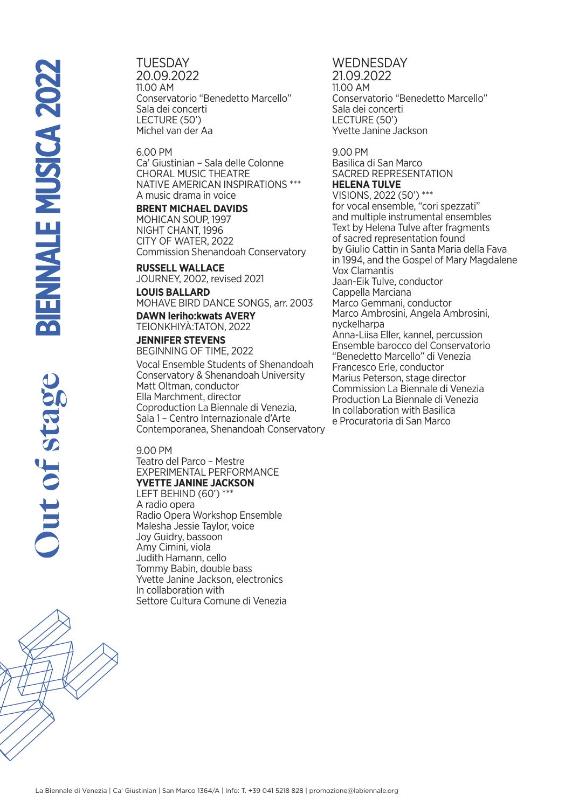**TUESDAY** 20.09.2022 11.00 AM Conservatorio "Benedetto Marcello" Sala dei concerti LECTURE (50') Michel van der Aa

6.00 PM Ca' Giustinian – Sala delle Colonne CHORAL MUSIC THEATRE NATIVE AMERICAN INSPIRATIONS \*\*\* A music drama in voice

**BRENT MICHAEL DAVIDS** MOHICAN SOUP, 1997 NIGHT CHANT, 1996 CITY OF WATER, 2022 Commission Shenandoah Conservatory

**RUSSELL WALLACE** JOURNEY, 2002, revised 2021

**LOUIS BALLARD** MOHAVE BIRD DANCE SONGS, arr. 2003

**DAWN leriho:kwats AVERY**  TEIONKHIYÀ:TATON, 2022 **JENNIFER STEVENS** BEGINNING OF TIME, 2022

Vocal Ensemble Students of Shenandoah Conservatory & Shenandoah University Matt Oltman, conductor Ella Marchment, director Coproduction La Biennale di Venezia, Sala 1 – Centro Internazionale d'Arte Contemporanea, Shenandoah Conservatory

9.00 PM

Teatro del Parco – Mestre EXPERIMENTAL PERFORMANCE **YVETTE JANINE JACKSON** LEFT BEHIND (60') \*\*\* A radio opera Radio Opera Workshop Ensemble Malesha Jessie Taylor, voice Joy Guidry, bassoon

Amy Cimini, viola Judith Hamann, cello Tommy Babin, double bass Yvette Janine Jackson, electronics In collaboration with Settore Cultura Comune di Venezia

**WEDNESDAY** 21.09.2022 11.00 AM Conservatorio "Benedetto Marcello" Sala dei concerti LECTURE (50') Yvette Janine Jackson

9.00 PM Basilica di San Marco SACRED REPRESENTATION **HELENA TULVE** VISIONS, 2022 (50') \*\*\* for vocal ensemble, "cori spezzati" and multiple instrumental ensembles Text by Helena Tulve after fragments of sacred representation found by Giulio Cattin in Santa Maria della Fava in 1994, and the Gospel of Mary Magdalene Vox Clamantis Jaan-Eik Tulve, conductor Cappella Marciana Marco Gemmani, conductor Marco Ambrosini, Angela Ambrosini, nyckelharpa Anna-Liisa Eller, kannel, percussion Ensemble barocco del Conservatorio "Benedetto Marcello" di Venezia Francesco Erle, conductor Marius Peterson, stage director Commission La Biennale di Venezia Production La Biennale di Venezia In collaboration with Basilica e Procuratoria di San Marco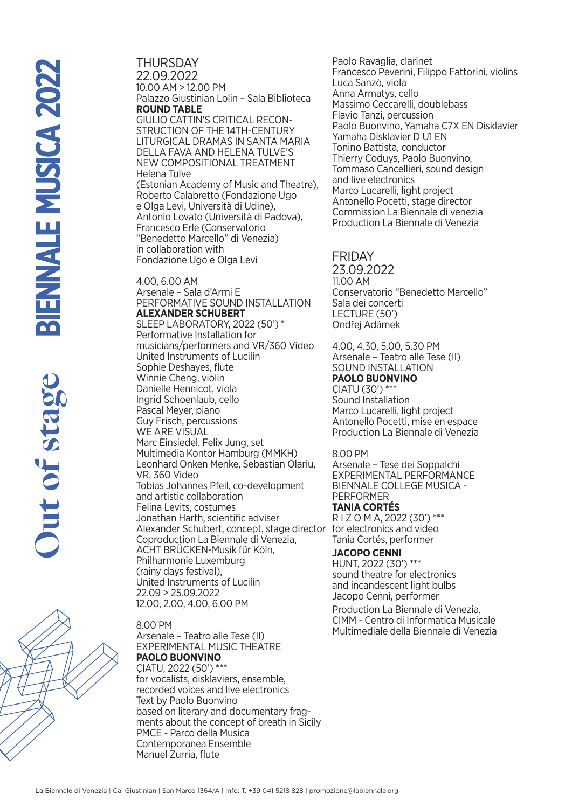THURSDAY 22.09.2022 10.00 AM > 12.00 PM Palazzo Giustinian Lolin – Sala Biblioteca **ROUND TABLE**  GIULIO CATTIN'S CRITICAL RECON-STRUCTION OF THE 14TH-CENTURY LITURGICAL DRAMAS IN SANTA MARIA DELLA FAVA AND HELENA TULVE'S NEW COMPOSITIONAL TREATMENT Helena Tulve (Estonian Academy of Music and Theatre), Roberto Calabretto (Fondazione Ugo e Olga Levi, Università di Udine), Antonio Lovato (Università di Padova), Francesco Erle (Conservatorio "Benedetto Marcello" di Venezia) in collaboration with Fondazione Ugo e Olga Levi 4.00, 6.00 AM

Arsenale – Sala d'Armi E PERFORMATIVE SOUND INSTALLATION **ALEXANDER SCHUBERT** SLEEP LABORATORY, 2022 (50') \* Performative Installation for musicians/performers and VR/360 Video United Instruments of Lucilin Sophie Deshayes, flute Winnie Cheng, violin Danielle Hennicot, viola Ingrid Schoenlaub, cello Pascal Meyer, piano Guy Frisch, percussions WE ARE VISUAL Marc Einsiedel, Felix Jung, set Multimedia Kontor Hamburg (MMKH) Leonhard Onken Menke, Sebastian Olariu, VR, 360 Video Tobias Johannes Pfeil, co-development and artistic collaboration Felina Levits, costumes Jonathan Harth, scientific adviser Alexander Schubert, concept, stage director for electronics and video Coproduction La Biennale di Venezia, ACHT BRÜCKEN-Musik für Köln, Philharmonie Luxemburg (rainy days festival), United Instruments of Lucilin 22.09 > 25.09.2022 12.00, 2.00, 4.00, 6.00 PM

8.00 PM

Arsenale – Teatro alle Tese (II) EXPERIMENTAL MUSIC THEATRE **PAOLO BUONVINO** ÇIATU, 2022 (50') \*\*\* for vocalists, disklaviers, ensemble, recorded voices and live electronics Text by Paolo Buonvino based on literary and documentary fragments about the concept of breath in Sicily PMCE - Parco della Musica Contemporanea Ensemble Manuel Zurria, flute

Paolo Ravaglia, clarinet Francesco Peverini, Filippo Fattorini, violins Luca Sanzò, viola Anna Armatys, cello Massimo Ceccarelli, doublebass Flavio Tanzi, percussion Paolo Buonvino, Yamaha C7X EN Disklavier Yamaha Disklavier D U1 EN Tonino Battista, conductor Thierry Coduys, Paolo Buonvino, Tommaso Cancellieri, sound design and live electronics Marco Lucarelli, light project Antonello Pocetti, stage director Commission La Biennale di venezia Production La Biennale di Venezia

### **FRIDAY**

23.09.2022 11.00 AM Conservatorio "Benedetto Marcello" Sala dei concerti LECTURE (50') Ondřej Adámek

4.00, 4.30, 5.00, 5.30 PM Arsenale – Teatro alle Tese (II) SOUND INSTALLATION **PAOLO BUONVINO** ÇIATU (30') \*\*\* Sound Installation

Marco Lucarelli, light project Antonello Pocetti, mise en espace Production La Biennale di Venezia

8.00 PM

Arsenale – Tese dei Soppalchi EXPERIMENTAL PERFORMANCE BIENNALE COLLEGE MUSICA - PERFORMER **TANIA CORTÉS**

R I Z O M A, 2022 (30') \*\*\* Tania Cortés, performer

**JACOPO CENNI**

HUNT, 2022 (30') \*\*\* sound theatre for electronics and incandescent light bulbs Jacopo Cenni, performer Production La Biennale di Venezia, CIMM - Centro di Informatica Musicale Multimediale della Biennale di Venezia

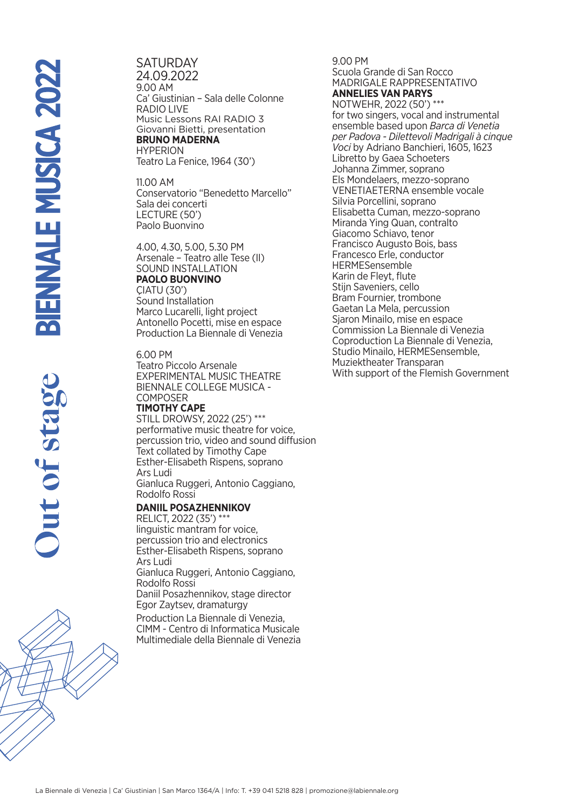**SATURDAY** 24.09.2022 9.00 AM Ca' Giustinian – Sala delle Colonne RADIO LIVE Music Lessons RAI RADIO 3 Giovanni Bietti, presentation **BRUNO MADERNA HYPERION** Teatro La Fenice, 1964 (30')

11.00 AM Conservatorio "Benedetto Marcello" Sala dei concerti LECTURE (50') Paolo Buonvino

4.00, 4.30, 5.00, 5.30 PM Arsenale – Teatro alle Tese (II) SOUND INSTALLATION **PAOLO BUONVINO** ÇIATU (30') Sound Installation Marco Lucarelli, light project Antonello Pocetti, mise en espace Production La Biennale di Venezia

6.00 PM Teatro Piccolo Arsenale EXPERIMENTAL MUSIC THEATRE BIENNALE COLLEGE MUSICA - COMPOSER **TIMOTHY CAPE**

STILL DROWSY, 2022 (25') \*\*\* performative music theatre for voice, percussion trio, video and sound diffusion Text collated by Timothy Cape Esther-Elisabeth Rispens, soprano Ars Ludi Gianluca Ruggeri, Antonio Caggiano, Rodolfo Rossi

#### **DANIIL POSAZHENNIKOV**

RELICT, 2022 (35') \*\*\* linguistic mantram for voice, percussion trio and electronics Esther-Elisabeth Rispens, soprano Ars Ludi Gianluca Ruggeri, Antonio Caggiano, Rodolfo Rossi Daniil Posazhennikov, stage director Egor Zaytsev, dramaturgy

Production La Biennale di Venezia, CIMM - Centro di Informatica Musicale Multimediale della Biennale di Venezia 9.00 PM Scuola Grande di San Rocco

MADRIGALE RAPPRESENTATIVO **ANNELIES VAN PARYS**

NOTWEHR, 2022 (50') \*\*\* for two singers, vocal and instrumental ensemble based upon *Barca di Venetia per Padova - Dilettevoli Madrigali à cinque Voci* by Adriano Banchieri, 1605, 1623 Libretto by Gaea Schoeters Johanna Zimmer, soprano Els Mondelaers, mezzo-soprano VENETIAETERNA ensemble vocale Silvia Porcellini, soprano Elisabetta Cuman, mezzo-soprano Miranda Ying Quan, contralto Giacomo Schiavo, tenor Francisco Augusto Bois, bass Francesco Erle, conductor HERMESensemble Karin de Fleyt, flute Stijn Saveniers, cello Bram Fournier, trombone Gaetan La Mela, percussion Sjaron Minailo, mise en espace Commission La Biennale di Venezia Coproduction La Biennale di Venezia, Studio Minailo, HERMESensemble, Muziektheater Transparan With support of the Flemish Government